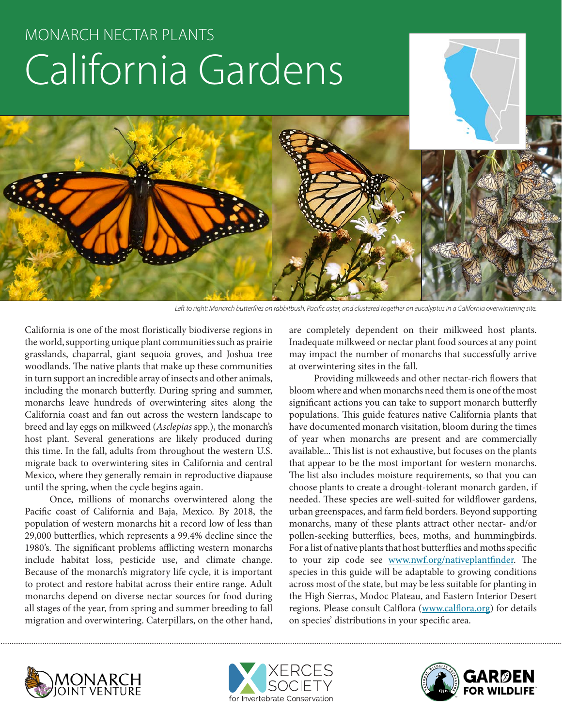# MONARCH NECTAR PLANTS California Gardens



*Left to right: Monarch butterflies on rabbitbush, Pacific aster, and clustered together on eucalyptus in a California overwintering site.*

California is one of the most floristically biodiverse regions in the world, supporting unique plant communities such as prairie grasslands, chaparral, giant sequoia groves, and Joshua tree woodlands. The native plants that make up these communities in turn support an incredible array of insects and other animals, including the monarch butterfly. During spring and summer, monarchs leave hundreds of overwintering sites along the California coast and fan out across the western landscape to breed and lay eggs on milkweed (*Asclepias* spp.), the monarch's host plant. Several generations are likely produced during this time. In the fall, adults from throughout the western U.S. migrate back to overwintering sites in California and central Mexico, where they generally remain in reproductive diapause until the spring, when the cycle begins again.

Once, millions of monarchs overwintered along the Pacific coast of California and Baja, Mexico. By 2018, the population of western monarchs hit a record low of less than 29,000 butterflies, which represents a 99.4% decline since the 1980's. The significant problems afflicting western monarchs include habitat loss, pesticide use, and climate change. Because of the monarch's migratory life cycle, it is important to protect and restore habitat across their entire range. Adult monarchs depend on diverse nectar sources for food during all stages of the year, from spring and summer breeding to fall migration and overwintering. Caterpillars, on the other hand,

are completely dependent on their milkweed host plants. Inadequate milkweed or nectar plant food sources at any point may impact the number of monarchs that successfully arrive at overwintering sites in the fall.

Providing milkweeds and other nectar-rich flowers that bloom where and when monarchs need them is one of the most significant actions you can take to support monarch butterfly populations. This guide features native California plants that have documented monarch visitation, bloom during the times of year when monarchs are present and are commercially available... This list is not exhaustive, but focuses on the plants that appear to be the most important for western monarchs. The list also includes moisture requirements, so that you can choose plants to create a drought-tolerant monarch garden, if needed. These species are well-suited for wildflower gardens, urban greenspaces, and farm field borders. Beyond supporting monarchs, many of these plants attract other nectar- and/or pollen-seeking butterflies, bees, moths, and hummingbirds. For a list of native plants that host butterflies and moths specific to your zip code see www.nwf.org/nativeplantfinder. The species in this guide will be adaptable to growing conditions across most of the state, but may be less suitable for planting in the High Sierras, Modoc Plateau, and Eastern Interior Desert regions. Please consult Calflora (www.calflora.org) for details on species' distributions in your specific area.





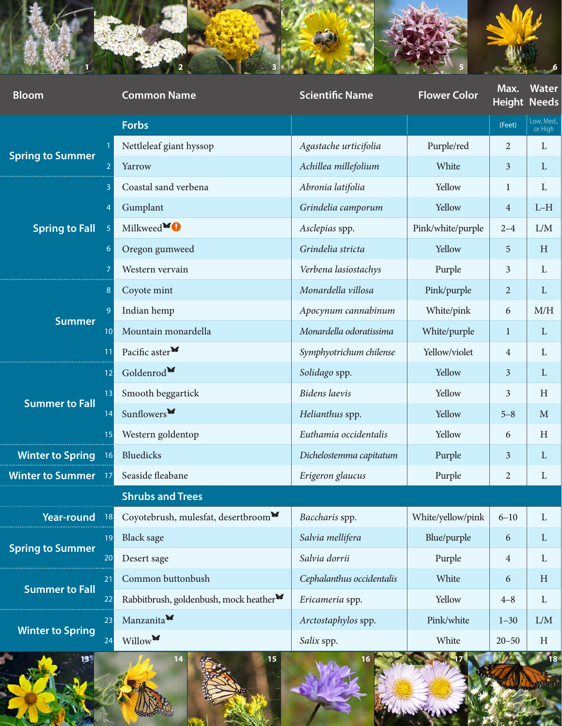

| <b>Bloom</b>                        | <b>Common Name</b>                                  | <b>Scientific Name</b>    | <b>Flower Color</b> | Max.            | Water<br><b>Height Needs</b> |
|-------------------------------------|-----------------------------------------------------|---------------------------|---------------------|-----------------|------------------------------|
|                                     | Forbs                                               |                           |                     | (Feet)          | Low, Med.,<br>or High        |
| <b>Spring to Summer</b>             | Nettleleaf giant hyssop                             | Agastache urticifolia     | Purple/red          | $\overline{2}$  | $\mathbf{L}$                 |
|                                     | Yarrow                                              | Achillea millefolium      | White               | $\overline{3}$  | $\mathbf{L}$                 |
| <b>Spring to Fall</b>               | Coastal sand verbena                                | Abronia latifolia         | Yellow              |                 | $\mathbf{L}$                 |
|                                     | Gumplant                                            | Grindelia camporum        | Yellow              | -4              | $L-H$                        |
|                                     | Milkweed <sup>¥0</sup>                              | Asclepias spp.            | Pink/white/purple   | $2 - 4$         | L/M                          |
|                                     | Oregon gumweed                                      | Grindelia stricta         | Yellow              | $5\overline{)}$ | $\, {\rm H}$                 |
|                                     | Western vervain                                     | Verbena lasiostachys      | Purple              | $\overline{3}$  | $\mathbf{L}$                 |
|                                     | Coyote mint                                         | Monardella villosa        | Pink/purple         | $\overline{2}$  | $\mathbf{L}$                 |
| <b>Summer</b>                       | Indian hemp                                         | Apocynum cannabinum       | White/pink          | 6               | M/H                          |
|                                     | Mountain monardella                                 | Monardella odoratissima   | White/purple        |                 | $\mathbf{L}$                 |
|                                     | Pacific aster <sup>*</sup>                          | Symphyotrichum chilense   | Yellow/violet       |                 | $\mathbf{L}$                 |
|                                     | Goldenrod                                           | Solidago spp.             | Yellow              | $\overline{3}$  | $\mathbf{L}$                 |
| <b>Summer to Fall</b>               | Smooth beggartick                                   | Bidens laevis             | Yellow              | $\overline{3}$  | $\, {\rm H}$                 |
|                                     | Sunflowers <sup>*</sup>                             | Helianthus spp.           | Yellow              | $5 - 8$         | $\mathbf M$                  |
|                                     | Western goldentop                                   | Euthamia occidentalis     | Yellow              | 6               | $\, {\rm H}$                 |
| <b>Winter to Spring</b>             | Bluedicks                                           | Dichelostemma capitatum   | Purple              | $\overline{3}$  | $\mathbf{L}$                 |
| <b>Winter to Summer</b>             | Seaside fleabane                                    | Erigeron glaucus          | Purple              | $\overline{2}$  | $\mathbf{L}$                 |
|                                     | <b>Shrubs and Trees</b>                             |                           |                     |                 |                              |
| Year-round                          | Coyotebrush, mulesfat, desertbroom                  | Baccharis spp.            | White/yellow/pink   | $6 - 10$        | $\Gamma$                     |
|                                     | <b>Black sage</b>                                   | Salvia mellifera          | Blue/purple         | 6               | $\mathbf{L}$                 |
| <b>Spring to Summer</b>             | Desert sage                                         | Salvia dorrii             | Purple              |                 | $\mathbf{L}$                 |
|                                     | Common buttonbush                                   | Cephalanthus occidentalis | White               | 6               | $\, {\rm H}$                 |
| <b>Summer to Fall</b>               | Rabbitbrush, goldenbush, mock heather <sup>36</sup> | Ericameria spp.           | Yellow              | $4 - 8$         | $\mathbf{L}$                 |
| 23<br><b>Winter to Spring</b><br>24 | Manzanita                                           | Arctostaphylos spp.       | Pink/white          | $1 - 30$        | ${\rm L/M}$                  |
|                                     | Willow                                              | Salix spp.                | White               | $20 - 50$       | $\, {\rm H}$                 |



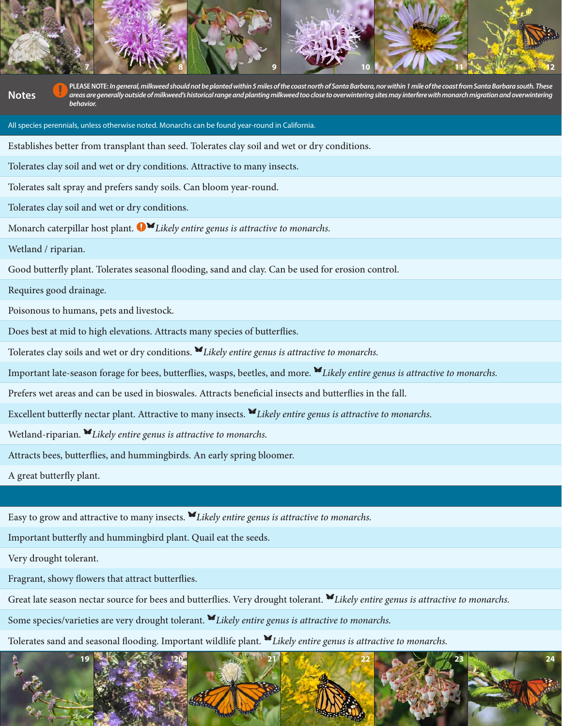PLEASE NOTE: *In general, milkweed should not be planted within 5 miles of the coast north of Santa Barbara, nor within 1 mile of the coast from Santa Barbara south. These areas are generally outside of milkweed's historic areas are generally outside of milkweed's historical range and planting milkweed too close to overwintering sites may interfere with monarch migration and overwintering behavior.*

**7 8 9 10 11 12**

All species perennials, unless otherwise noted. Monarchs can be found year-round in California.

Establishes better from transplant than seed. Tolerates clay soil and wet or dry conditions.

Tolerates clay soil and wet or dry conditions. Attractive to many insects.

Tolerates salt spray and prefers sandy soils. Can bloom year-round.

Tolerates clay soil and wet or dry conditions.

Monarch caterpillar host plant. <sup>1</sup> Likely entire genus is attractive to monarchs.

Wetland / riparian.

Good butterfly plant. Tolerates seasonal flooding, sand and clay. Can be used for erosion control.

Requires good drainage.

Poisonous to humans, pets and livestock.

Does best at mid to high elevations. Attracts many species of butterflies.

Tolerates clay soils and wet or dry conditions. Kikely entire genus is attractive to monarchs.

Important late-season forage for bees, butterflies, wasps, beetles, and more. K*Likely entire genus is attractive to monarchs*.

Prefers wet areas and can be used in bioswales. Attracts beneficial insects and butterflies in the fall.

Excellent butterfly nectar plant. Attractive to many insects. **K**Likely entire genus is attractive to monarchs.

Wetland-riparian. *Elikely entire genus is attractive to monarchs.* 

Attracts bees, butterflies, and hummingbirds. An early spring bloomer.

A great butterfly plant.

Easy to grow and attractive to many insects. **V**Likely entire genus is attractive to monarchs.

Important butterfly and hummingbird plant. Quail eat the seeds.

Very drought tolerant.

Fragrant, showy flowers that attract butterflies.

Great late season nectar source for bees and butterflies. Very drought tolerant. Klikely entire genus is attractive to monarchs.

Some species/varieties are very drought tolerant. **V**Likely entire genus is attractive to monarchs.

Tolerates sand and seasonal flooding. Important wildlife plant. KLikely entire genus is attractive to monarchs.